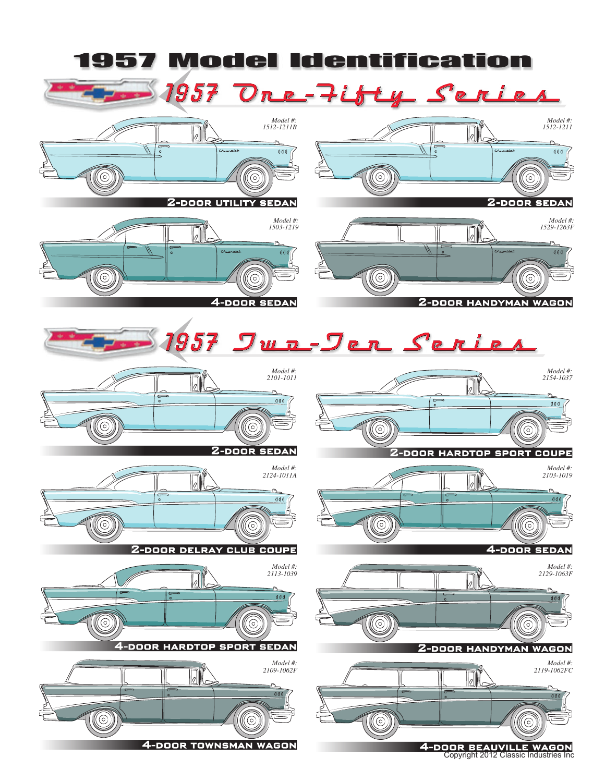